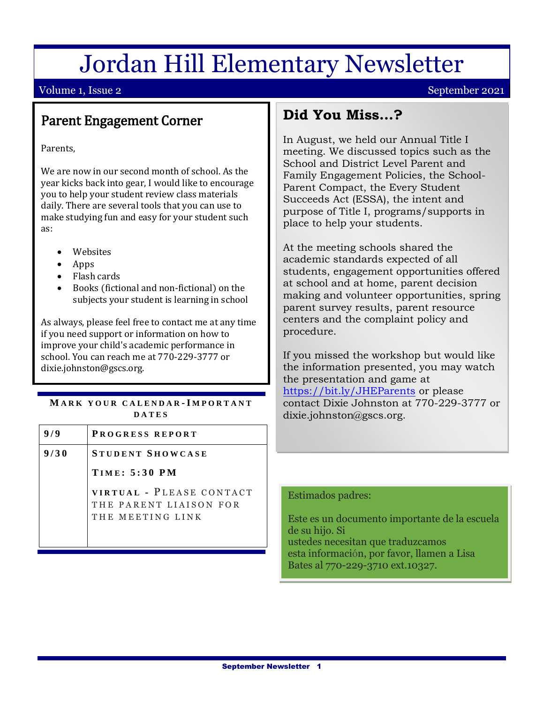# Jordan Hill Elementary Newsletter

### Volume 1, Issue 2 September 2021

# Parent Engagement Corner

Parents,

We are now in our second month of school. As the year kicks back into gear, I would like to encourage you to help your student review class materials daily. There are several tools that you can use to make studying fun and easy for your student such as:

- Websites
- Apps

EMAIL.

- Flash cards
- Books (fictional and non-fictional) on the subjects your student is learning in school

As always, please feel free to contact me at any time if you need support or information on how to improve your child's academic performance in school. You can reach me at 770-229-3777 or dixie.johnston@gscs.org.

#### **M A R K Y O U R C A L E N D A R -I M P O R T A N T D A T E S**

| 9/9  | PROGRESS REPORT                                                        |
|------|------------------------------------------------------------------------|
| 9/30 | STUDENT SHOWCASE                                                       |
|      | <b>TIME: 5:30 PM</b>                                                   |
|      | VIRTUAL - PLEASE CONTACT<br>THE PARENT LIAISON FOR<br>THE MEETING LINK |

## **Did You Miss…?**

In August, we held our Annual Title I meeting. We discussed topics such as the School and District Level Parent and Family Engagement Policies, the School-Parent Compact, the Every Student Succeeds Act (ESSA), the intent and purpose of Title I, programs/supports in place to help your students.

At the meeting schools shared the academic standards expected of all students, engagement opportunities offered at school and at home, parent decision making and volunteer opportunities, spring parent survey results, parent resource centers and the complaint policy and procedure.

If you missed the workshop but would like the information presented, you may watch the presentation and game at <https://bit.ly/JHEParents> or please contact Dixie Johnston at 770-229-3777 or dixie.johnston@gscs.org.

#### Estimados padres:

Este es un documento importante de la escuela de su hijo. Si ustedes necesitan que traduzcamos esta información, por favor, llamen a Lisa Bates al 770-229-3710 ext.10327.